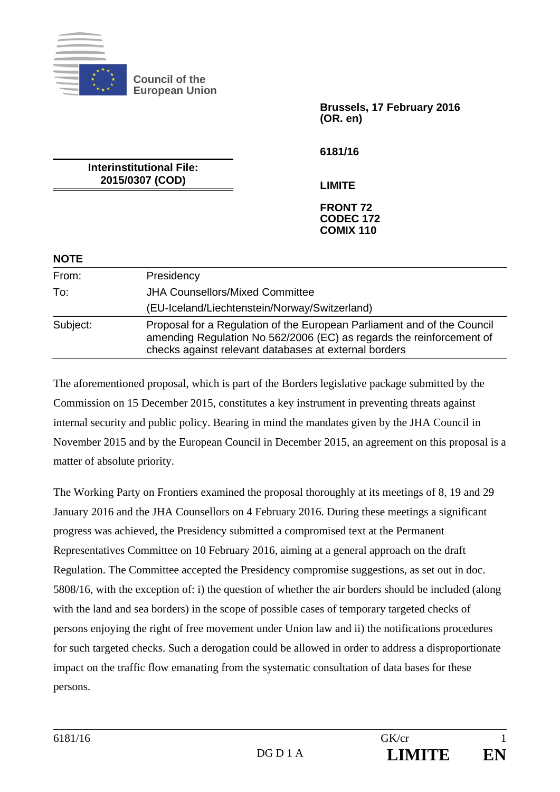

**NOTE** 

**Council of the European Union** 

> **Brussels, 17 February 2016 (OR. en)**

**6181/16** 

**Interinstitutional File: 2015/0307 (COD)** 

**LIMITE** 

#### **FRONT 72 CODEC 172 COMIX 110**

| 11 J J J L |                                                                                                                                                                                                          |
|------------|----------------------------------------------------------------------------------------------------------------------------------------------------------------------------------------------------------|
| From:      | Presidency                                                                                                                                                                                               |
| To:        | <b>JHA Counsellors/Mixed Committee</b>                                                                                                                                                                   |
|            | (EU-Iceland/Liechtenstein/Norway/Switzerland)                                                                                                                                                            |
| Subject:   | Proposal for a Regulation of the European Parliament and of the Council<br>amending Regulation No 562/2006 (EC) as regards the reinforcement of<br>checks against relevant databases at external borders |

The aforementioned proposal, which is part of the Borders legislative package submitted by the Commission on 15 December 2015, constitutes a key instrument in preventing threats against internal security and public policy. Bearing in mind the mandates given by the JHA Council in November 2015 and by the European Council in December 2015, an agreement on this proposal is a matter of absolute priority.

The Working Party on Frontiers examined the proposal thoroughly at its meetings of 8, 19 and 29 January 2016 and the JHA Counsellors on 4 February 2016. During these meetings a significant progress was achieved, the Presidency submitted a compromised text at the Permanent Representatives Committee on 10 February 2016, aiming at a general approach on the draft Regulation. The Committee accepted the Presidency compromise suggestions, as set out in doc. 5808/16, with the exception of: i) the question of whether the air borders should be included (along with the land and sea borders) in the scope of possible cases of temporary targeted checks of persons enjoying the right of free movement under Union law and ii) the notifications procedures for such targeted checks. Such a derogation could be allowed in order to address a disproportionate impact on the traffic flow emanating from the systematic consultation of data bases for these persons.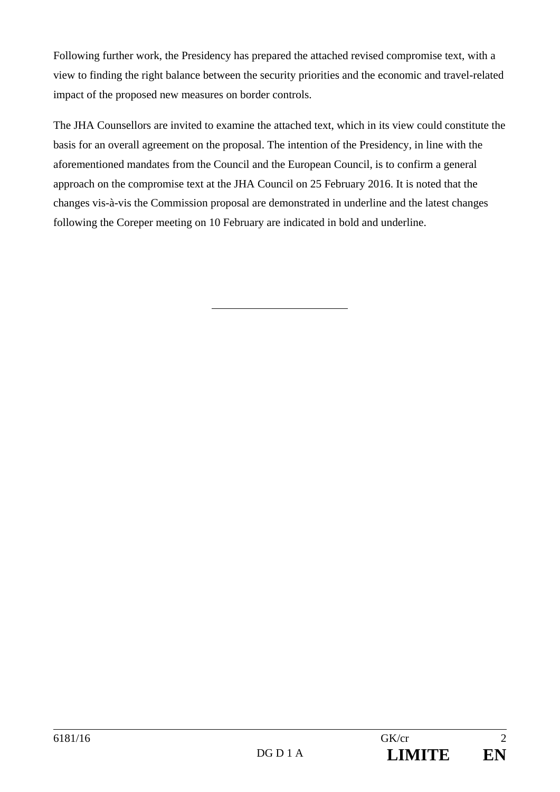Following further work, the Presidency has prepared the attached revised compromise text, with a view to finding the right balance between the security priorities and the economic and travel-related impact of the proposed new measures on border controls.

The JHA Counsellors are invited to examine the attached text, which in its view could constitute the basis for an overall agreement on the proposal. The intention of the Presidency, in line with the aforementioned mandates from the Council and the European Council, is to confirm a general approach on the compromise text at the JHA Council on 25 February 2016. It is noted that the changes vis-à-vis the Commission proposal are demonstrated in underline and the latest changes following the Coreper meeting on 10 February are indicated in bold and underline.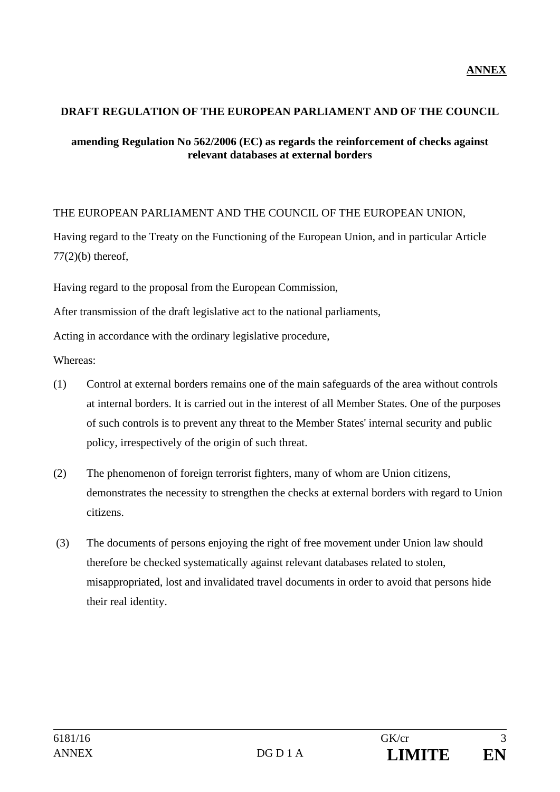### **DRAFT REGULATION OF THE EUROPEAN PARLIAMENT AND OF THE COUNCIL**

#### **amending Regulation No 562/2006 (EC) as regards the reinforcement of checks against relevant databases at external borders**

### THE EUROPEAN PARLIAMENT AND THE COUNCIL OF THE EUROPEAN UNION,

Having regard to the Treaty on the Functioning of the European Union, and in particular Article  $77(2)(b)$  thereof,

Having regard to the proposal from the European Commission,

After transmission of the draft legislative act to the national parliaments,

Acting in accordance with the ordinary legislative procedure,

Whereas:

- (1) Control at external borders remains one of the main safeguards of the area without controls at internal borders. It is carried out in the interest of all Member States. One of the purposes of such controls is to prevent any threat to the Member States' internal security and public policy, irrespectively of the origin of such threat.
- (2) The phenomenon of foreign terrorist fighters, many of whom are Union citizens, demonstrates the necessity to strengthen the checks at external borders with regard to Union citizens.
- (3) The documents of persons enjoying the right of free movement under Union law should therefore be checked systematically against relevant databases related to stolen, misappropriated, lost and invalidated travel documents in order to avoid that persons hide their real identity.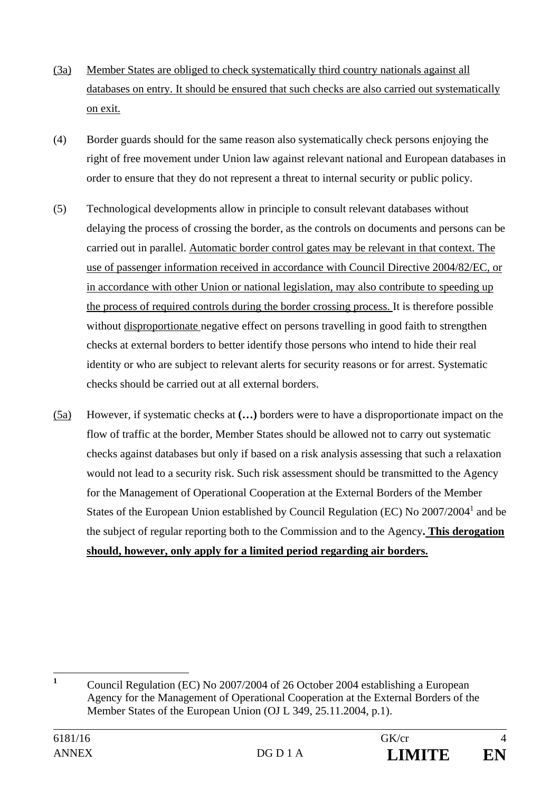- (3a) Member States are obliged to check systematically third country nationals against all databases on entry. It should be ensured that such checks are also carried out systematically on exit.
- (4) Border guards should for the same reason also systematically check persons enjoying the right of free movement under Union law against relevant national and European databases in order to ensure that they do not represent a threat to internal security or public policy.
- (5) Technological developments allow in principle to consult relevant databases without delaying the process of crossing the border, as the controls on documents and persons can be carried out in parallel. Automatic border control gates may be relevant in that context. The use of passenger information received in accordance with Council Directive 2004/82/EC, or in accordance with other Union or national legislation, may also contribute to speeding up the process of required controls during the border crossing process. It is therefore possible without disproportionate negative effect on persons travelling in good faith to strengthen checks at external borders to better identify those persons who intend to hide their real identity or who are subject to relevant alerts for security reasons or for arrest. Systematic checks should be carried out at all external borders.
- (5a) However, if systematic checks at **(…)** borders were to have a disproportionate impact on the flow of traffic at the border, Member States should be allowed not to carry out systematic checks against databases but only if based on a risk analysis assessing that such a relaxation would not lead to a security risk. Such risk assessment should be transmitted to the Agency for the Management of Operational Cooperation at the External Borders of the Member States of the European Union established by Council Regulation (EC) No  $2007/2004<sup>1</sup>$  and be the subject of regular reporting both to the Commission and to the Agency**. This derogation should, however, only apply for a limited period regarding air borders.**

 **1** Council Regulation (EC) No 2007/2004 of 26 October 2004 establishing a European Agency for the Management of Operational Cooperation at the External Borders of the Member States of the European Union (OJ L 349, 25.11.2004, p.1).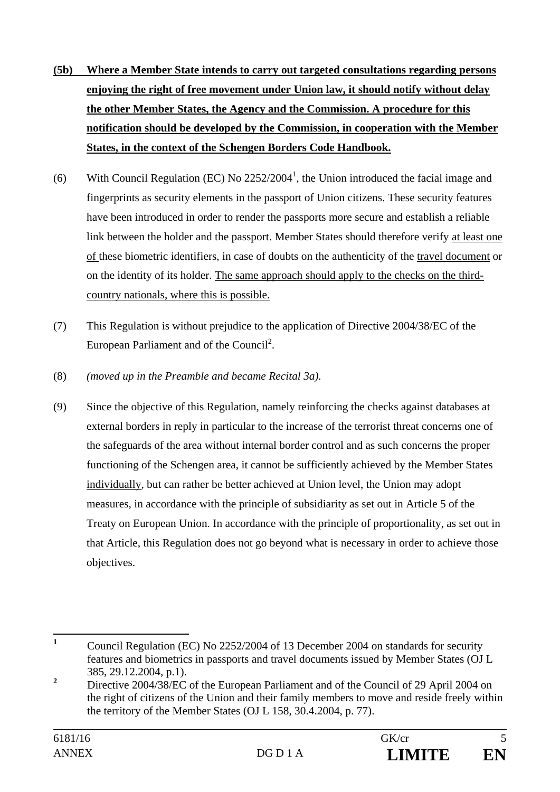- **(5b) Where a Member State intends to carry out targeted consultations regarding persons enjoying the right of free movement under Union law, it should notify without delay the other Member States, the Agency and the Commission. A procedure for this notification should be developed by the Commission, in cooperation with the Member States, in the context of the Schengen Borders Code Handbook.**
- (6) With Council Regulation (EC) No  $2252/2004^1$ , the Union introduced the facial image and fingerprints as security elements in the passport of Union citizens. These security features have been introduced in order to render the passports more secure and establish a reliable link between the holder and the passport. Member States should therefore verify at least one of these biometric identifiers, in case of doubts on the authenticity of the travel document or on the identity of its holder. The same approach should apply to the checks on the thirdcountry nationals, where this is possible.
- (7) This Regulation is without prejudice to the application of Directive 2004/38/EC of the European Parliament and of the Council<sup>2</sup>.
- (8) *(moved up in the Preamble and became Recital 3a).*
- (9) Since the objective of this Regulation, namely reinforcing the checks against databases at external borders in reply in particular to the increase of the terrorist threat concerns one of the safeguards of the area without internal border control and as such concerns the proper functioning of the Schengen area, it cannot be sufficiently achieved by the Member States individually, but can rather be better achieved at Union level, the Union may adopt measures, in accordance with the principle of subsidiarity as set out in Article 5 of the Treaty on European Union. In accordance with the principle of proportionality, as set out in that Article, this Regulation does not go beyond what is necessary in order to achieve those objectives.

 **1** Council Regulation (EC) No 2252/2004 of 13 December 2004 on standards for security features and biometrics in passports and travel documents issued by Member States (OJ L 385, 29.12.2004, p.1).

**<sup>2</sup>** Directive 2004/38/EC of the European Parliament and of the Council of 29 April 2004 on the right of citizens of the Union and their family members to move and reside freely within the territory of the Member States (OJ L 158, 30.4.2004, p. 77).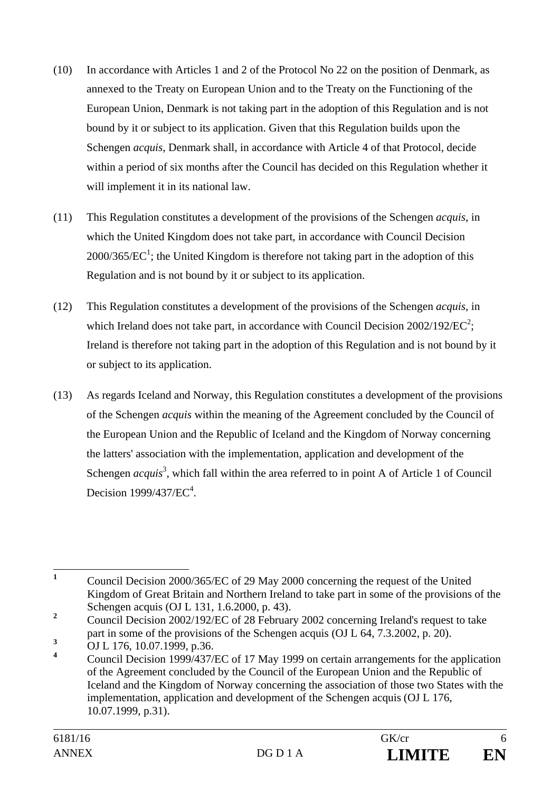- (10) In accordance with Articles 1 and 2 of the Protocol No 22 on the position of Denmark, as annexed to the Treaty on European Union and to the Treaty on the Functioning of the European Union, Denmark is not taking part in the adoption of this Regulation and is not bound by it or subject to its application. Given that this Regulation builds upon the Schengen *acquis*, Denmark shall, in accordance with Article 4 of that Protocol, decide within a period of six months after the Council has decided on this Regulation whether it will implement it in its national law.
- (11) This Regulation constitutes a development of the provisions of the Schengen *acquis*, in which the United Kingdom does not take part, in accordance with Council Decision  $2000/365/EC<sup>1</sup>$ ; the United Kingdom is therefore not taking part in the adoption of this Regulation and is not bound by it or subject to its application.
- (12) This Regulation constitutes a development of the provisions of the Schengen *acquis*, in which Ireland does not take part, in accordance with Council Decision  $2002/192/EC^2$ ; Ireland is therefore not taking part in the adoption of this Regulation and is not bound by it or subject to its application.
- (13) As regards Iceland and Norway, this Regulation constitutes a development of the provisions of the Schengen *acquis* within the meaning of the Agreement concluded by the Council of the European Union and the Republic of Iceland and the Kingdom of Norway concerning the latters' association with the implementation, application and development of the Schengen *acquis*<sup>3</sup>, which fall within the area referred to in point A of Article 1 of Council Decision  $1999/437/EC<sup>4</sup>$ .

 **1** Council Decision 2000/365/EC of 29 May 2000 concerning the request of the United Kingdom of Great Britain and Northern Ireland to take part in some of the provisions of the Schengen acquis (OJ L 131, 1.6.2000, p. 43).

**<sup>2</sup>** Council Decision 2002/192/EC of 28 February 2002 concerning Ireland's request to take part in some of the provisions of the Schengen acquis (OJ L 64, 7.3.2002, p. 20).

**<sup>3</sup>** OJ L 176, 10.07.1999, p.36.

**<sup>4</sup>** Council Decision 1999/437/EC of 17 May 1999 on certain arrangements for the application of the Agreement concluded by the Council of the European Union and the Republic of Iceland and the Kingdom of Norway concerning the association of those two States with the implementation, application and development of the Schengen acquis (OJ L 176, 10.07.1999, p.31).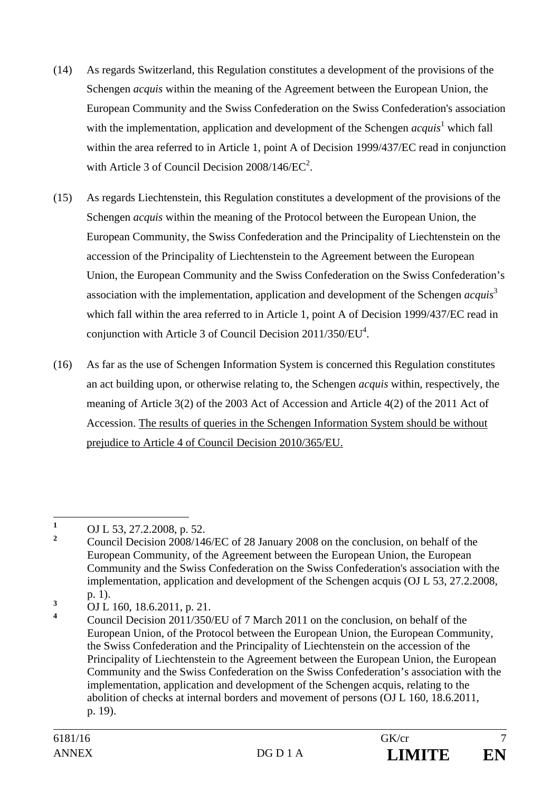- (14) As regards Switzerland, this Regulation constitutes a development of the provisions of the Schengen *acquis* within the meaning of the Agreement between the European Union, the European Community and the Swiss Confederation on the Swiss Confederation's association with the implementation, application and development of the Schengen *acquis*<sup>1</sup> which fall within the area referred to in Article 1, point A of Decision 1999/437/EC read in conjunction with Article 3 of Council Decision  $2008/146/EC^2$ .
- (15) As regards Liechtenstein, this Regulation constitutes a development of the provisions of the Schengen *acquis* within the meaning of the Protocol between the European Union, the European Community, the Swiss Confederation and the Principality of Liechtenstein on the accession of the Principality of Liechtenstein to the Agreement between the European Union, the European Community and the Swiss Confederation on the Swiss Confederation's association with the implementation, application and development of the Schengen *acquis*<sup>3</sup> which fall within the area referred to in Article 1, point A of Decision 1999/437/EC read in conjunction with Article 3 of Council Decision  $2011/350/EU<sup>4</sup>$ .
- (16) As far as the use of Schengen Information System is concerned this Regulation constitutes an act building upon, or otherwise relating to, the Schengen *acquis* within, respectively, the meaning of Article 3(2) of the 2003 Act of Accession and Article 4(2) of the 2011 Act of Accession. The results of queries in the Schengen Information System should be without prejudice to Article 4 of Council Decision 2010/365/EU.

 **1** OJ L 53, 27.2.2008, p. 52.

**<sup>2</sup>** Council Decision 2008/146/EC of 28 January 2008 on the conclusion, on behalf of the European Community, of the Agreement between the European Union, the European Community and the Swiss Confederation on the Swiss Confederation's association with the implementation, application and development of the Schengen acquis (OJ L 53, 27.2.2008, p. 1).

**<sup>3</sup>** OJ L 160, 18.6.2011, p. 21.

**<sup>4</sup>** Council Decision 2011/350/EU of 7 March 2011 on the conclusion, on behalf of the European Union, of the Protocol between the European Union, the European Community, the Swiss Confederation and the Principality of Liechtenstein on the accession of the Principality of Liechtenstein to the Agreement between the European Union, the European Community and the Swiss Confederation on the Swiss Confederation's association with the implementation, application and development of the Schengen acquis, relating to the abolition of checks at internal borders and movement of persons (OJ L 160, 18.6.2011, p. 19).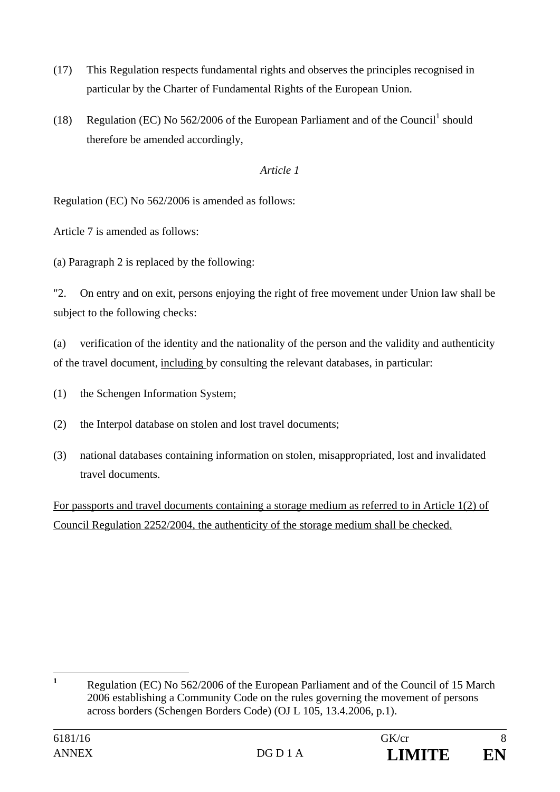- (17) This Regulation respects fundamental rights and observes the principles recognised in particular by the Charter of Fundamental Rights of the European Union.
- (18) Regulation (EC) No  $562/2006$  of the European Parliament and of the Council<sup>1</sup> should therefore be amended accordingly,

# *Article 1*

Regulation (EC) No 562/2006 is amended as follows:

Article 7 is amended as follows:

(a) Paragraph 2 is replaced by the following:

"2. On entry and on exit, persons enjoying the right of free movement under Union law shall be subject to the following checks:

(a) verification of the identity and the nationality of the person and the validity and authenticity of the travel document, including by consulting the relevant databases, in particular:

- (1) the Schengen Information System;
- (2) the Interpol database on stolen and lost travel documents;
- (3) national databases containing information on stolen, misappropriated, lost and invalidated travel documents.

For passports and travel documents containing a storage medium as referred to in Article 1(2) of Council Regulation 2252/2004, the authenticity of the storage medium shall be checked.

 **1** Regulation (EC) No 562/2006 of the European Parliament and of the Council of 15 March 2006 establishing a Community Code on the rules governing the movement of persons across borders (Schengen Borders Code) (OJ L 105, 13.4.2006, p.1).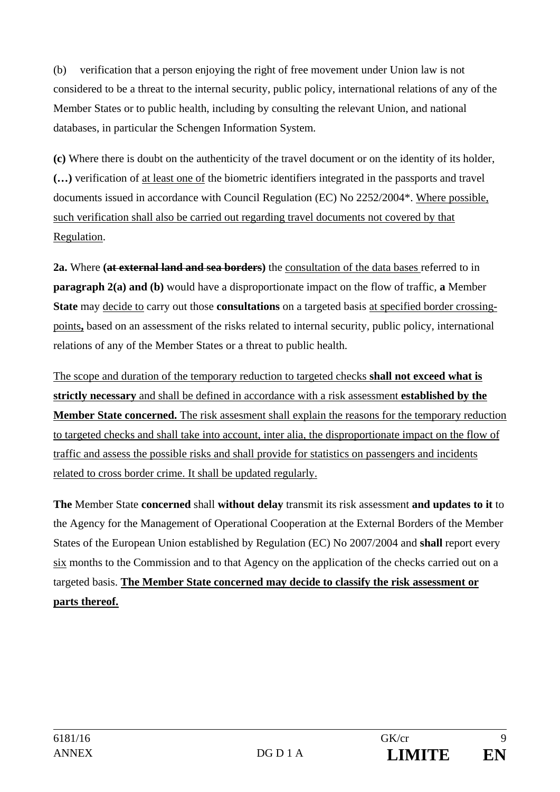(b) verification that a person enjoying the right of free movement under Union law is not considered to be a threat to the internal security, public policy, international relations of any of the Member States or to public health, including by consulting the relevant Union, and national databases, in particular the Schengen Information System.

**(c)** Where there is doubt on the authenticity of the travel document or on the identity of its holder, **(…)** verification of at least one of the biometric identifiers integrated in the passports and travel documents issued in accordance with Council Regulation (EC) No 2252/2004\*. Where possible, such verification shall also be carried out regarding travel documents not covered by that Regulation.

**2a.** Where **(at external land and sea borders)** the consultation of the data bases referred to in **paragraph 2(a) and (b)** would have a disproportionate impact on the flow of traffic, **a** Member **State** may decide to carry out those **consultations** on a targeted basis at specified border crossingpoints**,** based on an assessment of the risks related to internal security, public policy, international relations of any of the Member States or a threat to public health.

The scope and duration of the temporary reduction to targeted checks **shall not exceed what is strictly necessary** and shall be defined in accordance with a risk assessment **established by the Member State concerned.** The risk assesment shall explain the reasons for the temporary reduction to targeted checks and shall take into account, inter alia, the disproportionate impact on the flow of traffic and assess the possible risks and shall provide for statistics on passengers and incidents related to cross border crime. It shall be updated regularly.

**The** Member State **concerned** shall **without delay** transmit its risk assessment **and updates to it** to the Agency for the Management of Operational Cooperation at the External Borders of the Member States of the European Union established by Regulation (EC) No 2007/2004 and **shall** report every six months to the Commission and to that Agency on the application of the checks carried out on a targeted basis. **The Member State concerned may decide to classify the risk assessment or parts thereof.**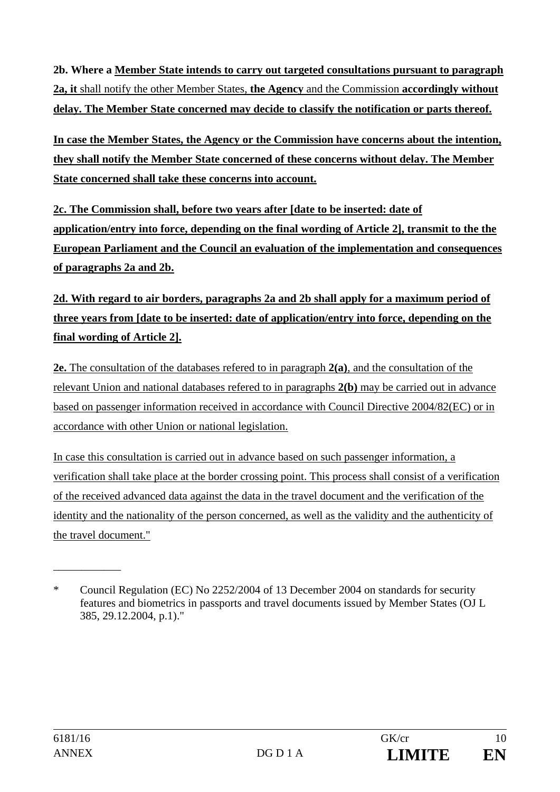**2b. Where a Member State intends to carry out targeted consultations pursuant to paragraph 2a, it** shall notify the other Member States, **the Agency** and the Commission **accordingly without delay. The Member State concerned may decide to classify the notification or parts thereof.** 

**In case the Member States, the Agency or the Commission have concerns about the intention, they shall notify the Member State concerned of these concerns without delay. The Member State concerned shall take these concerns into account.** 

**2c. The Commission shall, before two years after [date to be inserted: date of application/entry into force, depending on the final wording of Article 2], transmit to the the European Parliament and the Council an evaluation of the implementation and consequences of paragraphs 2a and 2b.** 

# **2d. With regard to air borders, paragraphs 2a and 2b shall apply for a maximum period of three years from [date to be inserted: date of application/entry into force, depending on the final wording of Article 2].**

**2e.** The consultation of the databases refered to in paragraph **2(a)**, and the consultation of the relevant Union and national databases refered to in paragraphs **2(b)** may be carried out in advance based on passenger information received in accordance with Council Directive 2004/82(EC) or in accordance with other Union or national legislation.

In case this consultation is carried out in advance based on such passenger information, a verification shall take place at the border crossing point. This process shall consist of a verification of the received advanced data against the data in the travel document and the verification of the identity and the nationality of the person concerned, as well as the validity and the authenticity of the travel document."

\_\_\_\_\_\_\_\_\_\_\_\_

<sup>\*</sup> Council Regulation (EC) No 2252/2004 of 13 December 2004 on standards for security features and biometrics in passports and travel documents issued by Member States (OJ L 385, 29.12.2004, p.1)."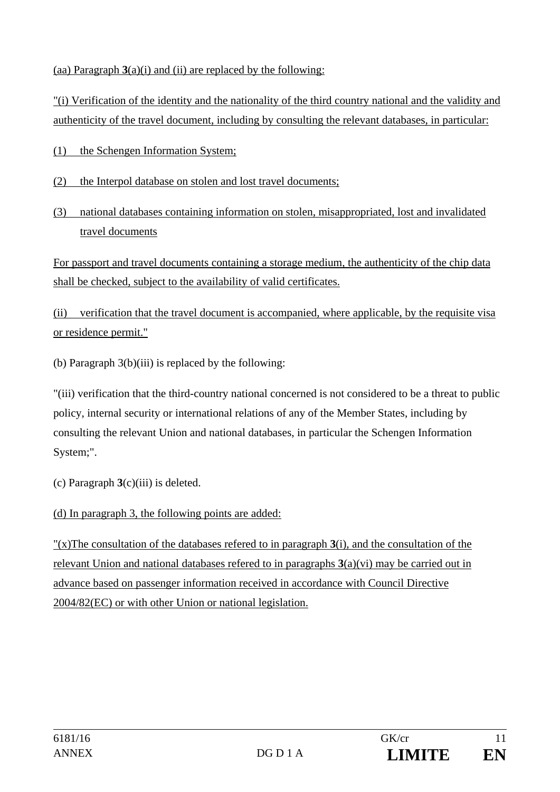(aa) Paragraph  $3(a)(i)$  and (ii) are replaced by the following:

"(i) Verification of the identity and the nationality of the third country national and the validity and authenticity of the travel document, including by consulting the relevant databases, in particular:

- (1) the Schengen Information System;
- (2) the Interpol database on stolen and lost travel documents;
- (3) national databases containing information on stolen, misappropriated, lost and invalidated travel documents

For passport and travel documents containing a storage medium, the authenticity of the chip data shall be checked, subject to the availability of valid certificates.

(ii) verification that the travel document is accompanied, where applicable, by the requisite visa or residence permit."

(b) Paragraph 3(b)(iii) is replaced by the following:

"(iii) verification that the third-country national concerned is not considered to be a threat to public policy, internal security or international relations of any of the Member States, including by consulting the relevant Union and national databases, in particular the Schengen Information System;".

(c) Paragraph **3**(c)(iii) is deleted.

(d) In paragraph 3, the following points are added:

"(x)The consultation of the databases refered to in paragraph **3**(i), and the consultation of the relevant Union and national databases refered to in paragraphs **3**(a)(vi) may be carried out in advance based on passenger information received in accordance with Council Directive 2004/82(EC) or with other Union or national legislation.